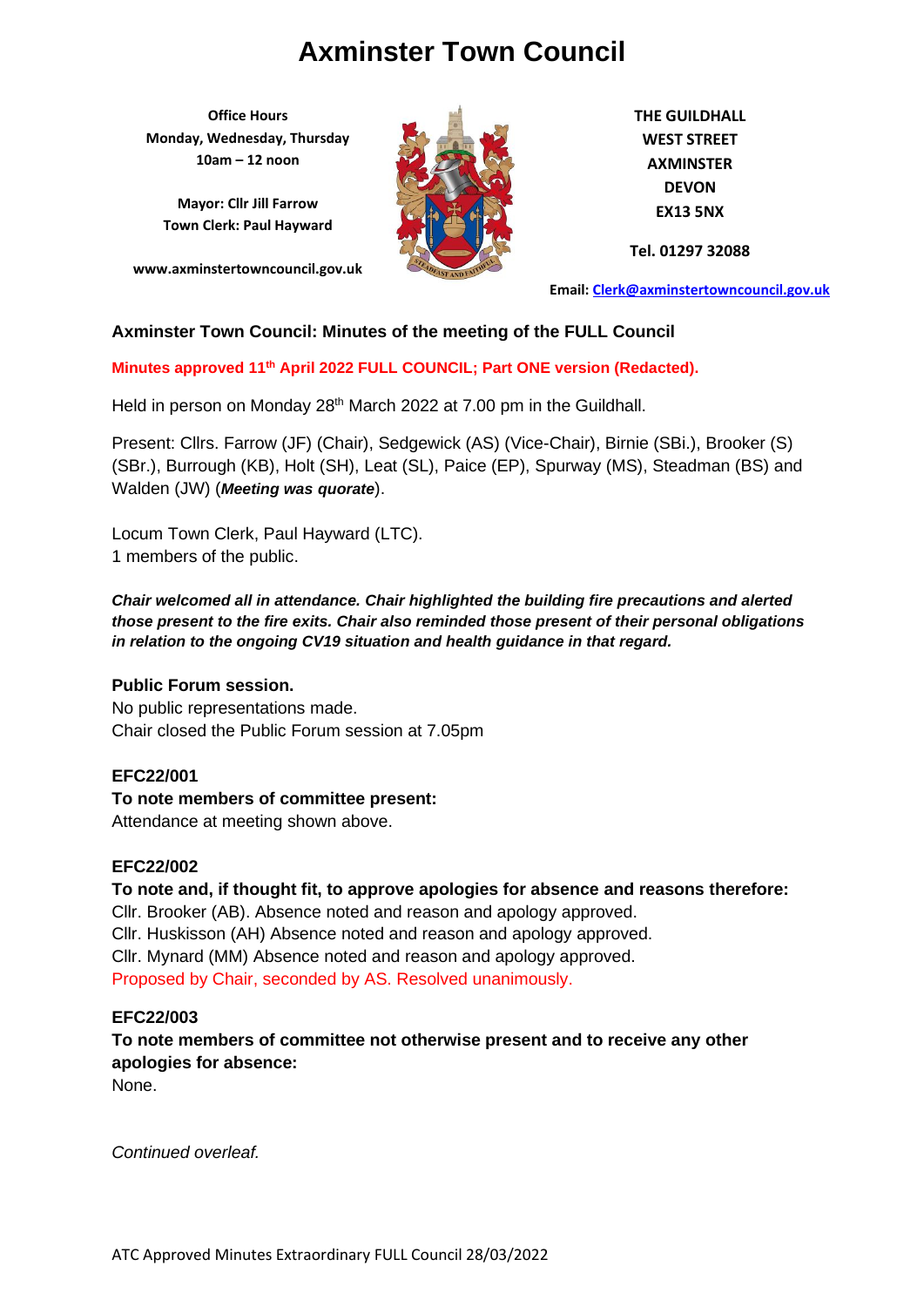**Office Hours Monday, Wednesday, Thursday 10am – 12 noon**

**Mayor: Cllr Jill Farrow Town Clerk: Paul Hayward**

**www.axminstertowncouncil.gov.uk**



**THE GUILDHALL WEST STREET AXMINSTER DEVON EX13 5NX**

**Tel. 01297 32088**

**Email: [Clerk@axminstertowncouncil.gov.uk](file://///axm-svr-1/company/Templates/Clerk@axminstertowncouncil.gov.uk)**

## **Axminster Town Council: Minutes of the meeting of the FULL Council**

**Minutes approved 11th April 2022 FULL COUNCIL; Part ONE version (Redacted).**

Held in person on Monday 28<sup>th</sup> March 2022 at 7.00 pm in the Guildhall.

Present: Cllrs. Farrow (JF) (Chair), Sedgewick (AS) (Vice-Chair), Birnie (SBi.), Brooker (S) (SBr.), Burrough (KB), Holt (SH), Leat (SL), Paice (EP), Spurway (MS), Steadman (BS) and Walden (JW) (*Meeting was quorate*).

Locum Town Clerk, Paul Hayward (LTC). 1 members of the public.

*Chair welcomed all in attendance. Chair highlighted the building fire precautions and alerted those present to the fire exits. Chair also reminded those present of their personal obligations in relation to the ongoing CV19 situation and health guidance in that regard.*

## **Public Forum session.**

No public representations made. Chair closed the Public Forum session at 7.05pm

## **EFC22/001**

## **To note members of committee present:**

Attendance at meeting shown above.

## **EFC22/002**

**To note and, if thought fit, to approve apologies for absence and reasons therefore:** Cllr. Brooker (AB). Absence noted and reason and apology approved. Cllr. Huskisson (AH) Absence noted and reason and apology approved. Cllr. Mynard (MM) Absence noted and reason and apology approved. Proposed by Chair, seconded by AS. Resolved unanimously.

#### **EFC22/003**

**To note members of committee not otherwise present and to receive any other apologies for absence:**

None.

*Continued overleaf.*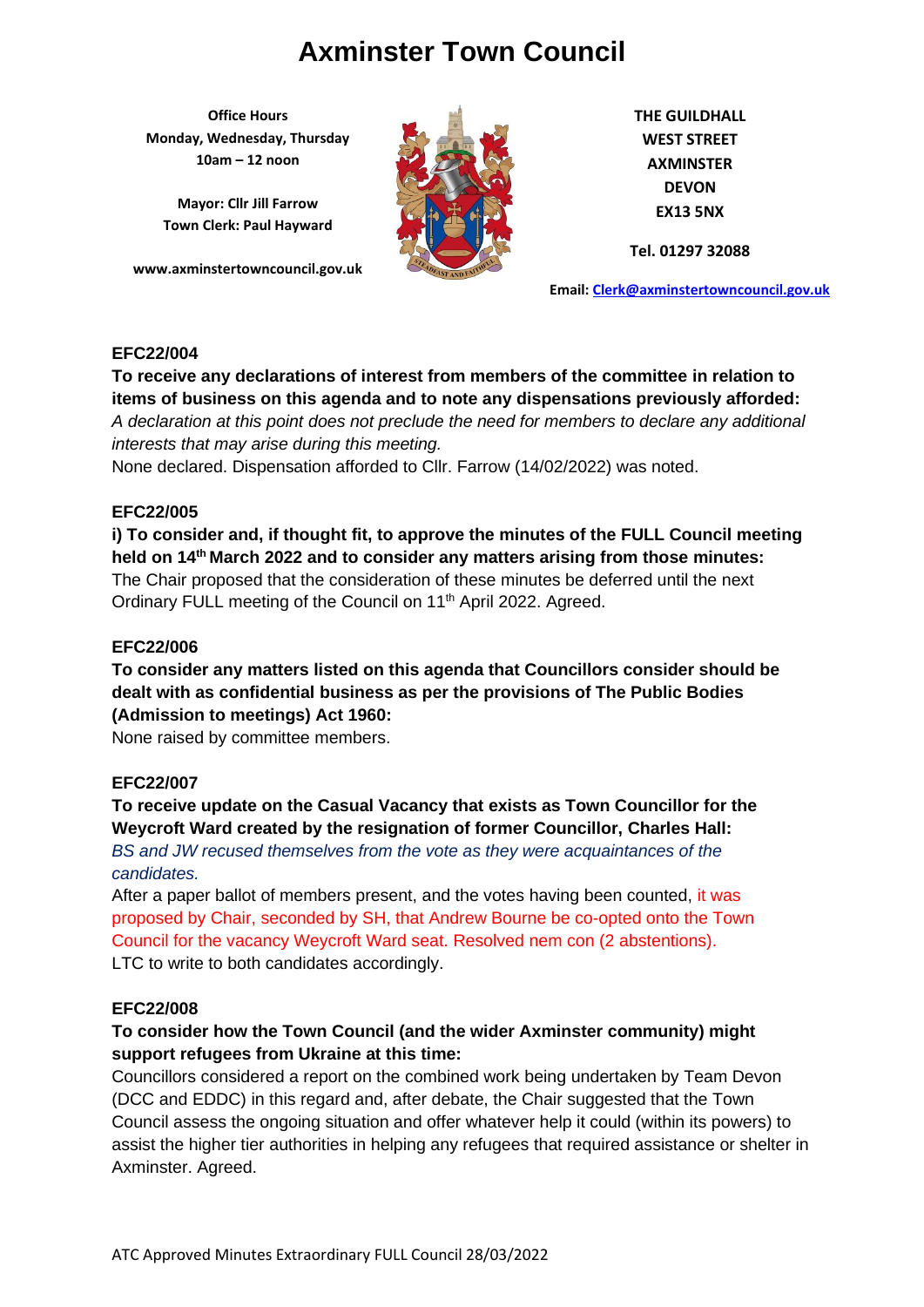**Office Hours Monday, Wednesday, Thursday 10am – 12 noon**

**Mayor: Cllr Jill Farrow Town Clerk: Paul Hayward**

**www.axminstertowncouncil.gov.uk**



**THE GUILDHALL WEST STREET AXMINSTER DEVON EX13 5NX**

**Tel. 01297 32088**

**Email: [Clerk@axminstertowncouncil.gov.uk](file://///axm-svr-1/company/Templates/Clerk@axminstertowncouncil.gov.uk)**

## **EFC22/004**

A declaration at this point does not preclude the need for members to declare any additional **A To receive any declarations of interest from members of the committee in relation to items of business on this agenda and to note any dispensations previously afforded:** 

*interests that may arise during this meeting.*

None declared. Dispensation afforded to Cllr. Farrow (14/02/2022) was noted.

## **EFC22/005**

**i) To consider and, if thought fit, to approve the minutes of the FULL Council meeting held on 14 th March 2022 and to consider any matters arising from those minutes:** The Chair proposed that the consideration of these minutes be deferred until the next Ordinary FULL meeting of the Council on 11<sup>th</sup> April 2022. Agreed.

## **EFC22/006**

**To consider any matters listed on this agenda that Councillors consider should be dealt with as confidential business as per the provisions of The Public Bodies (Admission to meetings) Act 1960:**

None raised by committee members.

## **EFC22/007**

**To receive update on the Casual Vacancy that exists as Town Councillor for the Weycroft Ward created by the resignation of former Councillor, Charles Hall:** *BS and JW recused themselves from the vote as they were acquaintances of the candidates.*

After a paper ballot of members present, and the votes having been counted, it was proposed by Chair, seconded by SH, that Andrew Bourne be co-opted onto the Town Council for the vacancy Weycroft Ward seat. Resolved nem con (2 abstentions). LTC to write to both candidates accordingly.

## **EFC22/008**

# **To consider how the Town Council (and the wider Axminster community) might support refugees from Ukraine at this time:**

Councillors considered a report on the combined work being undertaken by Team Devon (DCC and EDDC) in this regard and, after debate, the Chair suggested that the Town Council assess the ongoing situation and offer whatever help it could (within its powers) to assist the higher tier authorities in helping any refugees that required assistance or shelter in Axminster. Agreed.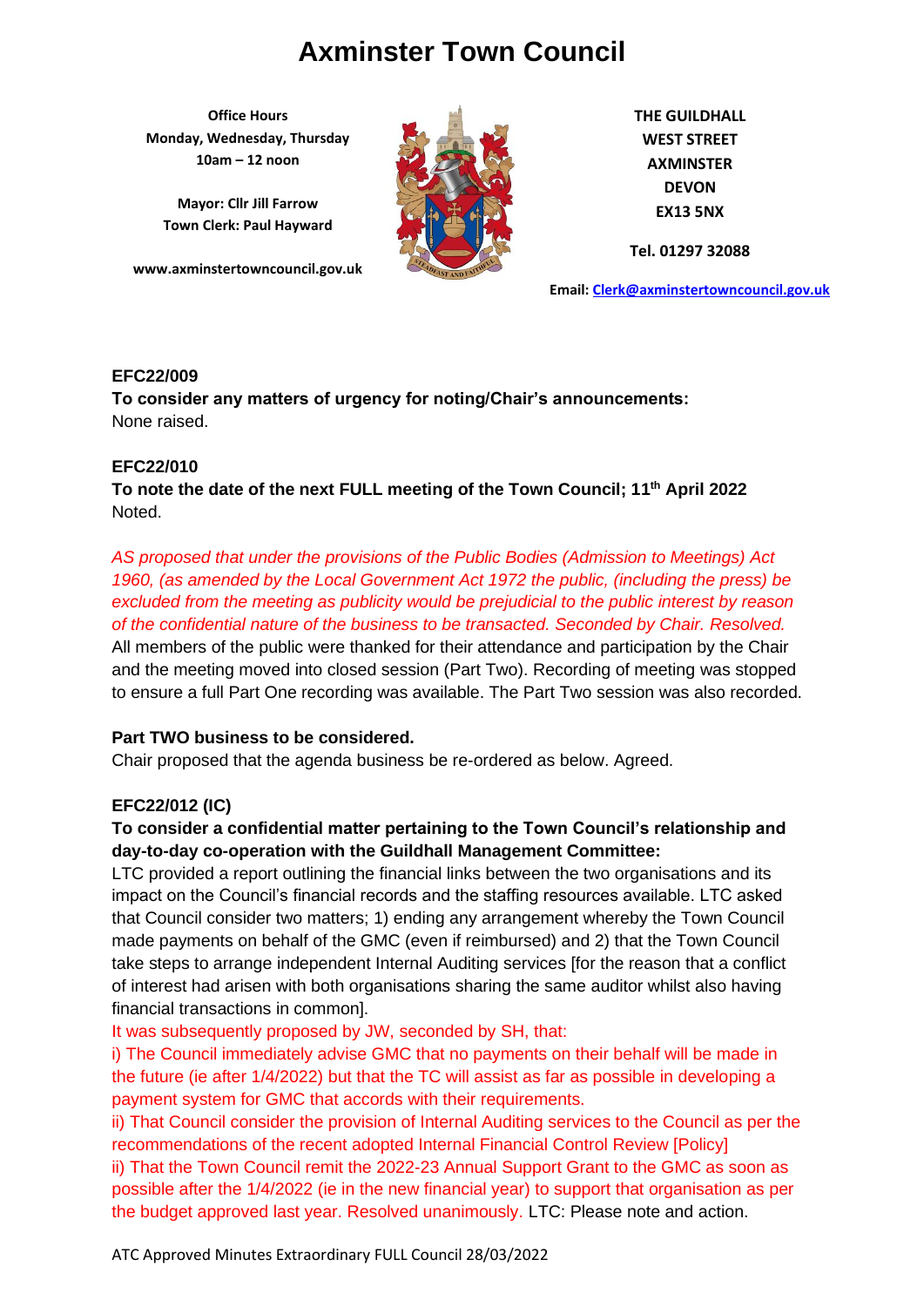**Office Hours Monday, Wednesday, Thursday 10am – 12 noon**

**Mayor: Cllr Jill Farrow Town Clerk: Paul Hayward**

**www.axminstertowncouncil.gov.uk**



**THE GUILDHALL WEST STREET AXMINSTER DEVON EX13 5NX**

**Tel. 01297 32088**

**Email: [Clerk@axminstertowncouncil.gov.uk](file://///axm-svr-1/company/Templates/Clerk@axminstertowncouncil.gov.uk)**

## **EFC22/009**

**To consider any matters of urgency for noting/Chair's announcements:** None raised.

# **EFC22/010**

**To note the date of the next FULL meeting of the Town Council; 11 th April 2022** Noted.

*AS proposed that under the provisions of the Public Bodies (Admission to Meetings) Act 1960, (as amended by the Local Government Act 1972 the public, (including the press) be excluded from the meeting as publicity would be prejudicial to the public interest by reason of the confidential nature of the business to be transacted. Seconded by Chair. Resolved.* All members of the public were thanked for their attendance and participation by the Chair and the meeting moved into closed session (Part Two). Recording of meeting was stopped to ensure a full Part One recording was available. The Part Two session was also recorded.

# **Part TWO business to be considered.**

Chair proposed that the agenda business be re-ordered as below. Agreed.

# **EFC22/012 (IC)**

# **To consider a confidential matter pertaining to the Town Council's relationship and day-to-day co-operation with the Guildhall Management Committee:**

LTC provided a report outlining the financial links between the two organisations and its impact on the Council's financial records and the staffing resources available. LTC asked that Council consider two matters; 1) ending any arrangement whereby the Town Council made payments on behalf of the GMC (even if reimbursed) and 2) that the Town Council take steps to arrange independent Internal Auditing services [for the reason that a conflict of interest had arisen with both organisations sharing the same auditor whilst also having financial transactions in common].

It was subsequently proposed by JW, seconded by SH, that:

i) The Council immediately advise GMC that no payments on their behalf will be made in the future (ie after 1/4/2022) but that the TC will assist as far as possible in developing a payment system for GMC that accords with their requirements.

ii) That Council consider the provision of Internal Auditing services to the Council as per the recommendations of the recent adopted Internal Financial Control Review [Policy] ii) That the Town Council remit the 2022-23 Annual Support Grant to the GMC as soon as possible after the 1/4/2022 (ie in the new financial year) to support that organisation as per the budget approved last year. Resolved unanimously. LTC: Please note and action.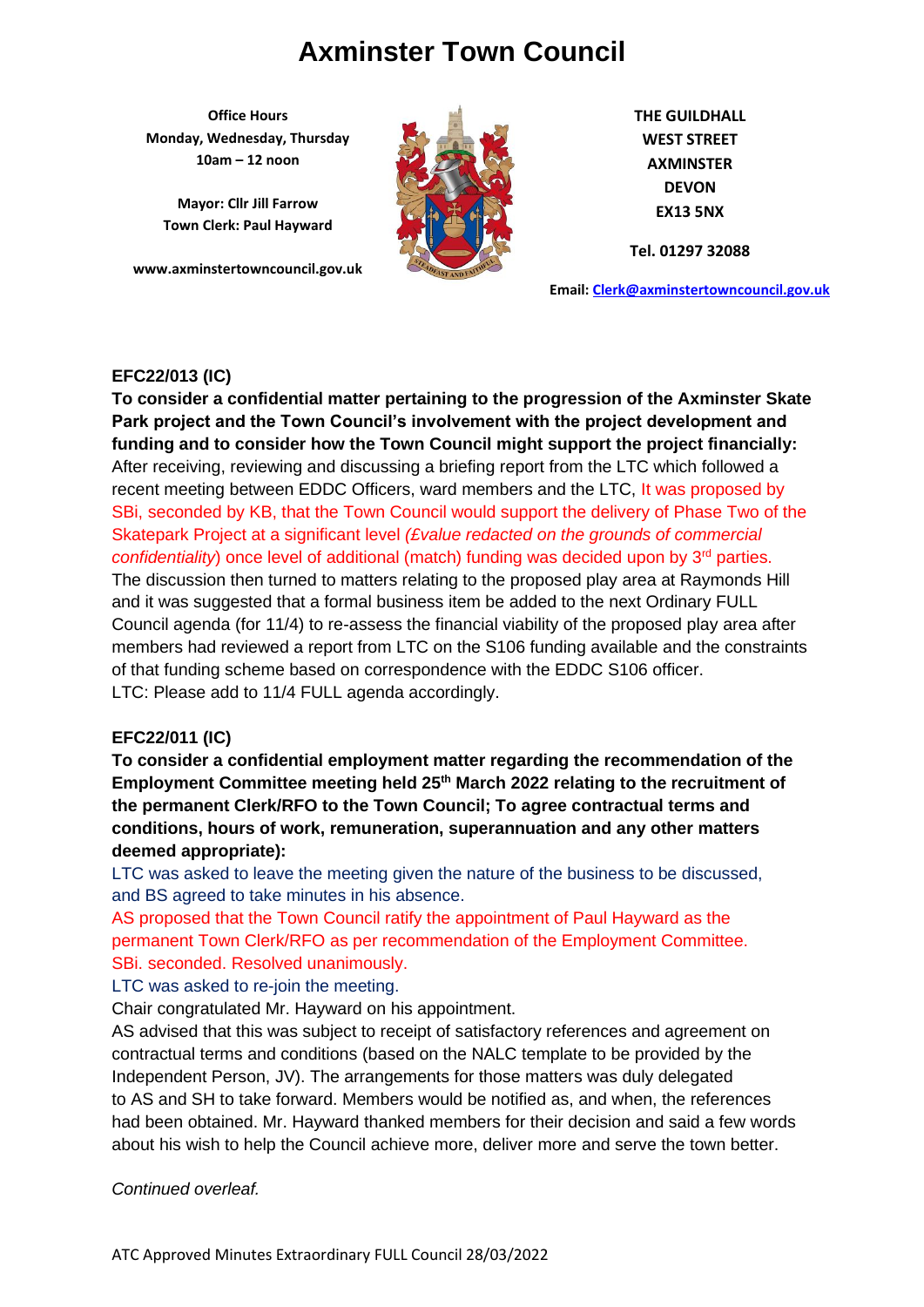**Office Hours Monday, Wednesday, Thursday 10am – 12 noon**

**Mayor: Cllr Jill Farrow Town Clerk: Paul Hayward**

**www.axminstertowncouncil.gov.uk**



**THE GUILDHALL WEST STREET AXMINSTER DEVON EX13 5NX**

**Tel. 01297 32088**

**Email: [Clerk@axminstertowncouncil.gov.uk](file://///axm-svr-1/company/Templates/Clerk@axminstertowncouncil.gov.uk)**

## **EFC22/013 (IC)**

Park project and the Town Council's involvement with the project development and **counting the project of the state To consider a confidential matter pertaining to the progression of the Axminster Skate funding and to consider how the Town Council might support the project financially:** After receiving, reviewing and discussing a briefing report from the LTC which followed a recent meeting between EDDC Officers, ward members and the LTC, It was proposed by SBi, seconded by KB, that the Town Council would support the delivery of Phase Two of the Skatepark Project at a significant level *(£value redacted on the grounds of commercial confidentiality*) once level of additional (match) funding was decided upon by 3<sup>rd</sup> parties. The discussion then turned to matters relating to the proposed play area at Raymonds Hill and it was suggested that a formal business item be added to the next Ordinary FULL Council agenda (for 11/4) to re-assess the financial viability of the proposed play area after members had reviewed a report from LTC on the S106 funding available and the constraints of that funding scheme based on correspondence with the EDDC S106 officer. LTC: Please add to 11/4 FULL agenda accordingly.

# **EFC22/011 (IC)**

**To consider a confidential employment matter regarding the recommendation of the Employment Committee meeting held 25th March 2022 relating to the recruitment of the permanent Clerk/RFO to the Town Council; To agree contractual terms and conditions, hours of work, remuneration, superannuation and any other matters deemed appropriate):**

LTC was asked to leave the meeting given the nature of the business to be discussed, and BS agreed to take minutes in his absence.

AS proposed that the Town Council ratify the appointment of Paul Hayward as the permanent Town Clerk/RFO as per recommendation of the Employment Committee. SBi. seconded. Resolved unanimously.

LTC was asked to re-join the meeting.

Chair congratulated Mr. Hayward on his appointment.

AS advised that this was subject to receipt of satisfactory references and agreement on contractual terms and conditions (based on the NALC template to be provided by the Independent Person, JV). The arrangements for those matters was duly delegated to AS and SH to take forward. Members would be notified as, and when, the references had been obtained. Mr. Hayward thanked members for their decision and said a few words about his wish to help the Council achieve more, deliver more and serve the town better.

## *Continued overleaf.*